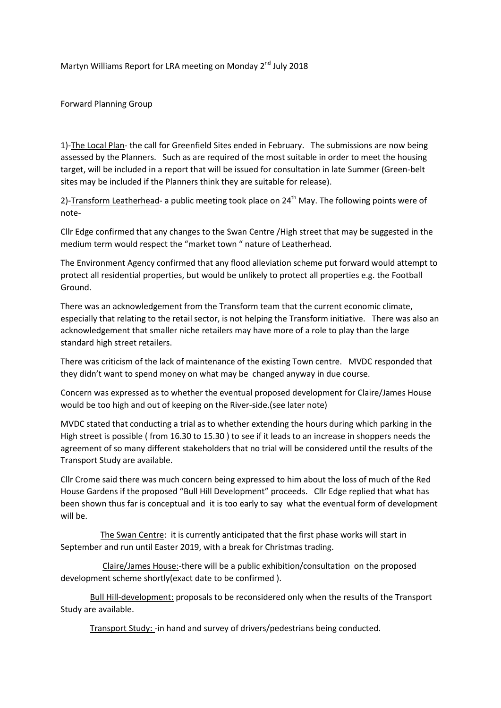Martyn Williams Report for LRA meeting on Monday 2<sup>nd</sup> July 2018

Forward Planning Group

1)-The Local Plan- the call for Greenfield Sites ended in February. The submissions are now being assessed by the Planners. Such as are required of the most suitable in order to meet the housing target, will be included in a report that will be issued for consultation in late Summer (Green-belt sites may be included if the Planners think they are suitable for release).

2)-Transform Leatherhead- a public meeting took place on 24<sup>th</sup> May. The following points were of note-

Cllr Edge confirmed that any changes to the Swan Centre /High street that may be suggested in the medium term would respect the "market town " nature of Leatherhead.

The Environment Agency confirmed that any flood alleviation scheme put forward would attempt to protect all residential properties, but would be unlikely to protect all properties e.g. the Football Ground.

There was an acknowledgement from the Transform team that the current economic climate, especially that relating to the retail sector, is not helping the Transform initiative. There was also an acknowledgement that smaller niche retailers may have more of a role to play than the large standard high street retailers.

There was criticism of the lack of maintenance of the existing Town centre. MVDC responded that they didn't want to spend money on what may be changed anyway in due course.

Concern was expressed as to whether the eventual proposed development for Claire/James House would be too high and out of keeping on the River-side.(see later note)

MVDC stated that conducting a trial as to whether extending the hours during which parking in the High street is possible ( from 16.30 to 15.30 ) to see if it leads to an increase in shoppers needs the agreement of so many different stakeholders that no trial will be considered until the results of the Transport Study are available.

Cllr Crome said there was much concern being expressed to him about the loss of much of the Red House Gardens if the proposed "Bull Hill Development" proceeds. Cllr Edge replied that what has been shown thus far is conceptual and it is too early to say what the eventual form of development will be.

 The Swan Centre: it is currently anticipated that the first phase works will start in September and run until Easter 2019, with a break for Christmas trading.

 Claire/James House:-there will be a public exhibition/consultation on the proposed development scheme shortly(exact date to be confirmed ).

 Bull Hill-development: proposals to be reconsidered only when the results of the Transport Study are available.

Transport Study: -in hand and survey of drivers/pedestrians being conducted.